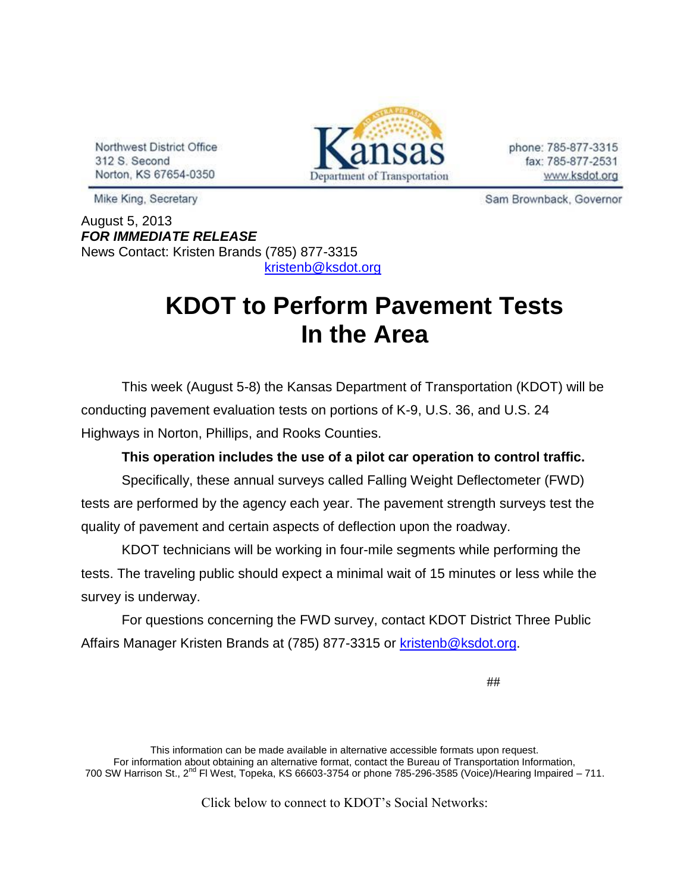Northwest District Office 312 S. Second Norton, KS 67654-0350



phone: 785-877-3315 fax: 785-877-2531 www.ksdot.org

Sam Brownback, Governor

Mike King, Secretary

August 5, 2013 *FOR IMMEDIATE RELEASE* News Contact: Kristen Brands (785) 877-3315 [kristenb@ksdot.org](mailto:kristenb@ksdot.org)

## **KDOT to Perform Pavement Tests In the Area**

This week (August 5-8) the Kansas Department of Transportation (KDOT) will be conducting pavement evaluation tests on portions of K-9, U.S. 36, and U.S. 24 Highways in Norton, Phillips, and Rooks Counties.

## **This operation includes the use of a pilot car operation to control traffic.**

Specifically, these annual surveys called Falling Weight Deflectometer (FWD) tests are performed by the agency each year. The pavement strength surveys test the quality of pavement and certain aspects of deflection upon the roadway.

KDOT technicians will be working in four-mile segments while performing the tests. The traveling public should expect a minimal wait of 15 minutes or less while the survey is underway.

For questions concerning the FWD survey, contact KDOT District Three Public Affairs Manager Kristen Brands at (785) 877-3315 or [kristenb@ksdot.org.](mailto:kristenb@ksdot.org)

##

This information can be made available in alternative accessible formats upon request. For information about obtaining an alternative format, contact the Bureau of Transportation Information, 700 SW Harrison St., 2<sup>nd</sup> Fl West, Topeka, KS 66603-3754 or phone 785-296-3585 (Voice)/Hearing Impaired – 711.

Click below to connect to KDOT's Social Networks: